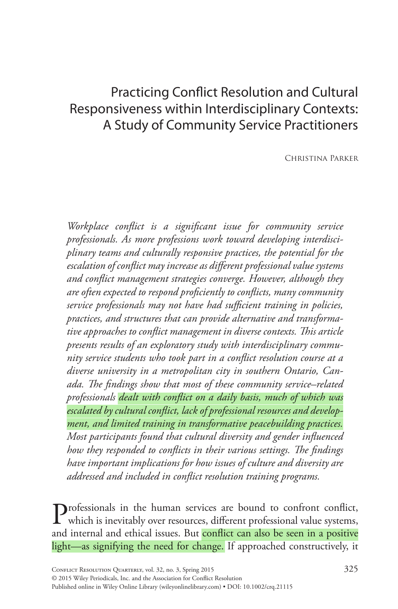# Practicing Conflict Resolution and Cultural Responsiveness within Interdisciplinary Contexts: A Study of Community Service Practitioners

Christina Parker

*Workplace conflict is a significant issue for community service professionals. As more professions work toward developing interdisciplinary teams and culturally responsive practices, the potential for the escalation of confl ict may increase as diff erent professional value systems*  and conflict management strategies converge. However, although they *are often expected to respond profi ciently to confl icts, many community service professionals may not have had suffi cient training in policies, practices, and structures that can provide alternative and transformative approaches to conflict management in diverse contexts. This article presents results of an exploratory study with interdisciplinary community service students who took part in a confl ict resolution course at a diverse university in a metropolitan city in southern Ontario, Canada. T e fi ndings show that most of these community service–related*  professionals dealt with conflict on a daily basis, much of which was escalated by cultural conflict, lack of professional resources and develop*ment, and limited training in transformative peacebuilding practices. Most participants found that cultural diversity and gender influenced how they responded to conflicts in their various settings. The findings have important implications for how issues of culture and diversity are*  addressed and included in conflict resolution training programs.

**Professionals in the human services are bound to confront conflict,** which is inevitably over resources, different professional value systems, and internal and ethical issues. But conflict can also be seen in a positive light—as signifying the need for change. If approached constructively, it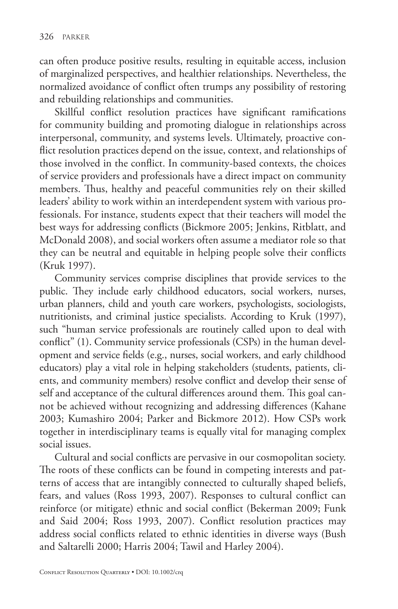can often produce positive results, resulting in equitable access, inclusion of marginalized perspectives, and healthier relationships. Nevertheless, the normalized avoidance of conflict often trumps any possibility of restoring and rebuilding relationships and communities.

Skillful conflict resolution practices have significant ramifications for community building and promoting dialogue in relationships across interpersonal, community, and systems levels. Ultimately, proactive conflict resolution practices depend on the issue, context, and relationships of those involved in the conflict. In community-based contexts, the choices of service providers and professionals have a direct impact on community members. Thus, healthy and peaceful communities rely on their skilled leaders' ability to work within an interdependent system with various professionals. For instance, students expect that their teachers will model the best ways for addressing conflicts (Bickmore 2005; Jenkins, Ritblatt, and McDonald 2008), and social workers often assume a mediator role so that they can be neutral and equitable in helping people solve their conflicts (Kruk 1997).

Community services comprise disciplines that provide services to the public. They include early childhood educators, social workers, nurses, urban planners, child and youth care workers, psychologists, sociologists, nutritionists, and criminal justice specialists. According to Kruk (1997), such "human service professionals are routinely called upon to deal with conflict" (1). Community service professionals (CSPs) in the human development and service fields (e.g., nurses, social workers, and early childhood educators) play a vital role in helping stakeholders (students, patients, clients, and community members) resolve conflict and develop their sense of self and acceptance of the cultural differences around them. This goal cannot be achieved without recognizing and addressing differences (Kahane 2003; Kumashiro 2004; Parker and Bickmore 2012). How CSPs work together in interdisciplinary teams is equally vital for managing complex social issues.

Cultural and social conflicts are pervasive in our cosmopolitan society. The roots of these conflicts can be found in competing interests and patterns of access that are intangibly connected to culturally shaped beliefs, fears, and values (Ross 1993, 2007). Responses to cultural conflict can reinforce (or mitigate) ethnic and social conflict (Bekerman 2009; Funk and Said 2004; Ross 1993, 2007). Conflict resolution practices may address social conflicts related to ethnic identities in diverse ways (Bush and Saltarelli 2000; Harris 2004; Tawil and Harley 2004).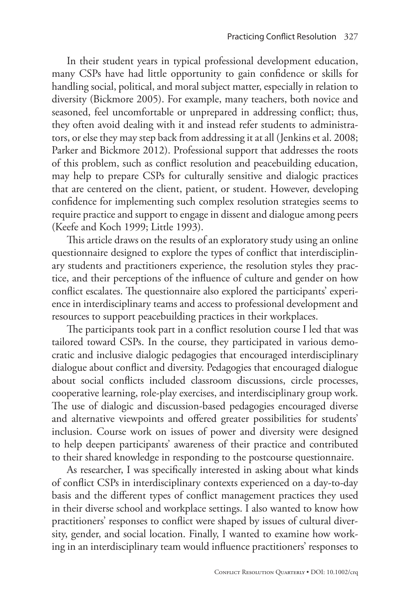In their student years in typical professional development education, many CSPs have had little opportunity to gain confidence or skills for handling social, political, and moral subject matter, especially in relation to diversity (Bickmore 2005). For example, many teachers, both novice and seasoned, feel uncomfortable or unprepared in addressing conflict; thus, they often avoid dealing with it and instead refer students to administrators, or else they may step back from addressing it at all (Jenkins et al. 2008; Parker and Bickmore 2012). Professional support that addresses the roots of this problem, such as conflict resolution and peacebuilding education, may help to prepare CSPs for culturally sensitive and dialogic practices that are centered on the client, patient, or student. However, developing confidence for implementing such complex resolution strategies seems to require practice and support to engage in dissent and dialogue among peers (Keefe and Koch 1999; Little 1993).

This article draws on the results of an exploratory study using an online questionnaire designed to explore the types of conflict that interdisciplinary students and practitioners experience, the resolution styles they practice, and their perceptions of the influence of culture and gender on how conflict escalates. The questionnaire also explored the participants' experience in interdisciplinary teams and access to professional development and resources to support peacebuilding practices in their workplaces.

The participants took part in a conflict resolution course I led that was tailored toward CSPs. In the course, they participated in various democratic and inclusive dialogic pedagogies that encouraged interdisciplinary dialogue about conflict and diversity. Pedagogies that encouraged dialogue about social conflicts included classroom discussions, circle processes, cooperative learning, role-play exercises, and interdisciplinary group work. The use of dialogic and discussion-based pedagogies encouraged diverse and alternative viewpoints and offered greater possibilities for students' inclusion. Course work on issues of power and diversity were designed to help deepen participants' awareness of their practice and contributed to their shared knowledge in responding to the postcourse questionnaire.

As researcher, I was specifically interested in asking about what kinds of conflict CSPs in interdisciplinary contexts experienced on a day-to-day basis and the different types of conflict management practices they used in their diverse school and workplace settings. I also wanted to know how practitioners' responses to conflict were shaped by issues of cultural diversity, gender, and social location. Finally, I wanted to examine how working in an interdisciplinary team would influence practitioners' responses to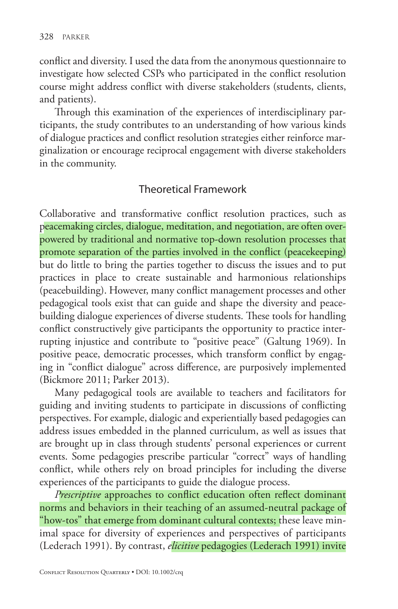conflict and diversity. I used the data from the anonymous questionnaire to investigate how selected CSPs who participated in the conflict resolution course might address conflict with diverse stakeholders (students, clients, and patients).

Through this examination of the experiences of interdisciplinary participants, the study contributes to an understanding of how various kinds of dialogue practices and conflict resolution strategies either reinforce marginalization or encourage reciprocal engagement with diverse stakeholders in the community.

#### Theoretical Framework

Collaborative and transformative conflict resolution practices, such as peacemaking circles, dialogue, meditation, and negotiation, are often overpowered by traditional and normative top-down resolution processes that promote separation of the parties involved in the conflict (peacekeeping) but do little to bring the parties together to discuss the issues and to put practices in place to create sustainable and harmonious relationships (peacebuilding). However, many conflict management processes and other pedagogical tools exist that can guide and shape the diversity and peacebuilding dialogue experiences of diverse students. These tools for handling conflict constructively give participants the opportunity to practice interrupting injustice and contribute to "positive peace" (Galtung 1969). In positive peace, democratic processes, which transform conflict by engaging in "conflict dialogue" across difference, are purposively implemented (Bickmore 2011; Parker 2013).

Many pedagogical tools are available to teachers and facilitators for guiding and inviting students to participate in discussions of conflicting perspectives. For example, dialogic and experientially based pedagogies can address issues embedded in the planned curriculum, as well as issues that are brought up in class through students' personal experiences or current events. Some pedagogies prescribe particular "correct" ways of handling conflict, while others rely on broad principles for including the diverse experiences of the participants to guide the dialogue process.

Prescriptive approaches to conflict education often reflect dominant norms and behaviors in their teaching of an assumed-neutral package of "how-tos" that emerge from dominant cultural contexts; these leave minimal space for diversity of experiences and perspectives of participants (Lederach 1991). By contrast, *elicitive* pedagogies (Lederach 1991) invite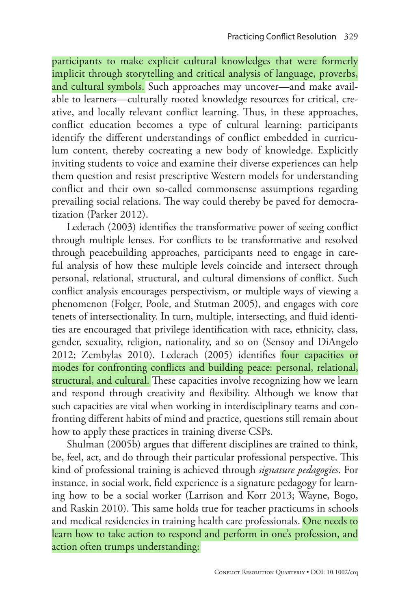participants to make explicit cultural knowledges that were formerly implicit through storytelling and critical analysis of language, proverbs, and cultural symbols. Such approaches may uncover—and make available to learners—culturally rooted knowledge resources for critical, creative, and locally relevant conflict learning. Thus, in these approaches, conflict education becomes a type of cultural learning: participants identify the different understandings of conflict embedded in curriculum content, thereby cocreating a new body of knowledge. Explicitly inviting students to voice and examine their diverse experiences can help them question and resist prescriptive Western models for understanding conflict and their own so-called commonsense assumptions regarding prevailing social relations. The way could thereby be paved for democratization (Parker 2012).

Lederach (2003) identifies the transformative power of seeing conflict through multiple lenses. For conflicts to be transformative and resolved through peacebuilding approaches, participants need to engage in careful analysis of how these multiple levels coincide and intersect through personal, relational, structural, and cultural dimensions of conflict. Such conflict analysis encourages perspectivism, or multiple ways of viewing a phenomenon (Folger, Poole, and Stutman 2005), and engages with core tenets of intersectionality. In turn, multiple, intersecting, and fluid identities are encouraged that privilege identification with race, ethnicity, class, gender, sexuality, religion, nationality, and so on (Sensoy and DiAngelo 2012; Zembylas 2010). Lederach (2005) identifies four capacities or modes for confronting conflicts and building peace: personal, relational, structural, and cultural. These capacities involve recognizing how we learn and respond through creativity and flexibility. Although we know that such capacities are vital when working in interdisciplinary teams and confronting different habits of mind and practice, questions still remain about how to apply these practices in training diverse CSPs.

Shulman (2005b) argues that different disciplines are trained to think, be, feel, act, and do through their particular professional perspective. This kind of professional training is achieved through *signature pedagogies*. For instance, in social work, field experience is a signature pedagogy for learning how to be a social worker (Larrison and Korr 2013; Wayne, Bogo, and Raskin 2010). This same holds true for teacher practicums in schools and medical residencies in training health care professionals. One needs to learn how to take action to respond and perform in one's profession, and action often trumps understanding: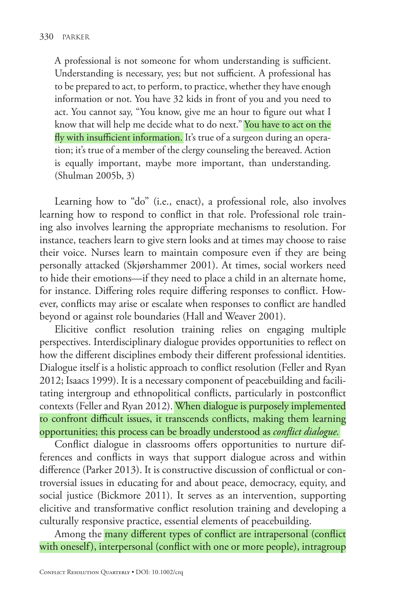A professional is not someone for whom understanding is sufficient. Understanding is necessary, yes; but not sufficient. A professional has to be prepared to act, to perform, to practice, whether they have enough information or not. You have 32 kids in front of you and you need to act. You cannot say, "You know, give me an hour to figure out what I know that will help me decide what to do next." You have to act on the fly with insufficient information. It's true of a surgeon during an operation; it's true of a member of the clergy counseling the bereaved. Action is equally important, maybe more important, than understanding. (Shulman 2005b, 3)

Learning how to "do" (i.e., enact), a professional role, also involves learning how to respond to conflict in that role. Professional role training also involves learning the appropriate mechanisms to resolution. For instance, teachers learn to give stern looks and at times may choose to raise their voice. Nurses learn to maintain composure even if they are being personally attacked (Skjørshammer 2001). At times, social workers need to hide their emotions—if they need to place a child in an alternate home, for instance. Differing roles require differing responses to conflict. However, conflicts may arise or escalate when responses to conflict are handled beyond or against role boundaries (Hall and Weaver 2001).

Elicitive conflict resolution training relies on engaging multiple perspectives. Interdisciplinary dialogue provides opportunities to reflect on how the different disciplines embody their different professional identities. Dialogue itself is a holistic approach to conflict resolution (Feller and Ryan 2012; Isaacs 1999). It is a necessary component of peacebuilding and facilitating intergroup and ethnopolitical conflicts, particularly in postconflict contexts (Feller and Ryan 2012). When dialogue is purposely implemented to confront difficult issues, it transcends conflicts, making them learning opportunities; this process can be broadly understood as *conflict dialogue*.

Conflict dialogue in classrooms offers opportunities to nurture differences and conflicts in ways that support dialogue across and within difference (Parker 2013). It is constructive discussion of conflictual or controversial issues in educating for and about peace, democracy, equity, and social justice (Bickmore 2011). It serves as an intervention, supporting elicitive and transformative conflict resolution training and developing a culturally responsive practice, essential elements of peacebuilding.

Among the many different types of conflict are intrapersonal (conflict with oneself), interpersonal (conflict with one or more people), intragroup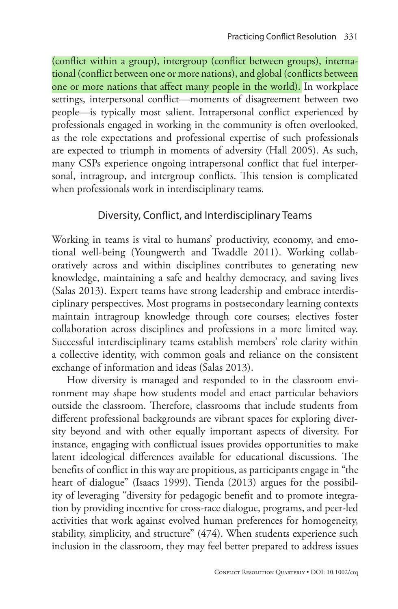(conflict within a group), intergroup (conflict between groups), international (conflict between one or more nations), and global (conflicts between one or more nations that affect many people in the world). In workplace settings, interpersonal conflict—moments of disagreement between two people—is typically most salient. Intrapersonal conflict experienced by professionals engaged in working in the community is often overlooked, as the role expectations and professional expertise of such professionals are expected to triumph in moments of adversity (Hall 2005). As such, many CSPs experience ongoing intrapersonal conflict that fuel interpersonal, intragroup, and intergroup conflicts. This tension is complicated when professionals work in interdisciplinary teams.

## Diversity, Conflict, and Interdisciplinary Teams

Working in teams is vital to humans' productivity, economy, and emotional well-being (Youngwerth and Twaddle 2011). Working collaboratively across and within disciplines contributes to generating new knowledge, maintaining a safe and healthy democracy, and saving lives (Salas 2013). Expert teams have strong leadership and embrace interdisciplinary perspectives. Most programs in postsecondary learning contexts maintain intragroup knowledge through core courses; electives foster collaboration across disciplines and professions in a more limited way. Successful interdisciplinary teams establish members' role clarity within a collective identity, with common goals and reliance on the consistent exchange of information and ideas (Salas 2013).

How diversity is managed and responded to in the classroom environment may shape how students model and enact particular behaviors outside the classroom. Therefore, classrooms that include students from different professional backgrounds are vibrant spaces for exploring diversity beyond and with other equally important aspects of diversity. For instance, engaging with conflictual issues provides opportunities to make latent ideological differences available for educational discussions. The benefits of conflict in this way are propitious, as participants engage in "the heart of dialogue" (Isaacs 1999). Tienda (2013) argues for the possibility of leveraging "diversity for pedagogic benefit and to promote integration by providing incentive for cross-race dialogue, programs, and peer-led activities that work against evolved human preferences for homogeneity, stability, simplicity, and structure" (474). When students experience such inclusion in the classroom, they may feel better prepared to address issues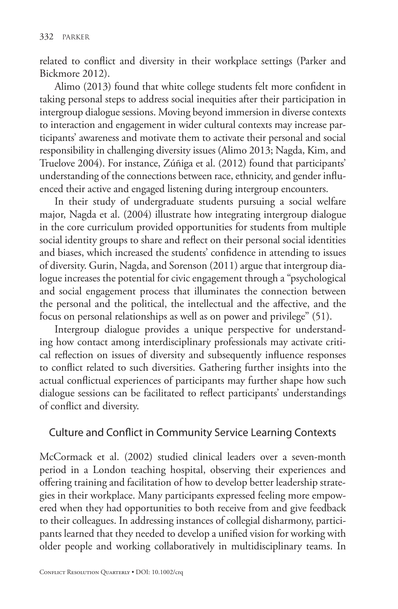related to conflict and diversity in their workplace settings (Parker and Bickmore 2012).

Alimo (2013) found that white college students felt more confident in taking personal steps to address social inequities after their participation in intergroup dialogue sessions. Moving beyond immersion in diverse contexts to interaction and engagement in wider cultural contexts may increase participants' awareness and motivate them to activate their personal and social responsibility in challenging diversity issues (Alimo 2013; Nagda, Kim, and Truelove 2004). For instance, Zúñiga et al. (2012) found that participants' understanding of the connections between race, ethnicity, and gender influenced their active and engaged listening during intergroup encounters.

In their study of undergraduate students pursuing a social welfare major, Nagda et al. (2004) illustrate how integrating intergroup dialogue in the core curriculum provided opportunities for students from multiple social identity groups to share and reflect on their personal social identities and biases, which increased the students' confidence in attending to issues of diversity. Gurin, Nagda, and Sorenson (2011) argue that intergroup dialogue increases the potential for civic engagement through a "psychological and social engagement process that illuminates the connection between the personal and the political, the intellectual and the affective, and the focus on personal relationships as well as on power and privilege" (51).

Intergroup dialogue provides a unique perspective for understanding how contact among interdisciplinary professionals may activate critical reflection on issues of diversity and subsequently influence responses to conflict related to such diversities. Gathering further insights into the actual conflictual experiences of participants may further shape how such dialogue sessions can be facilitated to reflect participants' understandings of conflict and diversity.

#### Culture and Conflict in Community Service Learning Contexts

McCormack et al. (2002) studied clinical leaders over a seven-month period in a London teaching hospital, observing their experiences and offering training and facilitation of how to develop better leadership strategies in their workplace. Many participants expressed feeling more empowered when they had opportunities to both receive from and give feedback to their colleagues. In addressing instances of collegial disharmony, participants learned that they needed to develop a unified vision for working with older people and working collaboratively in multidisciplinary teams. In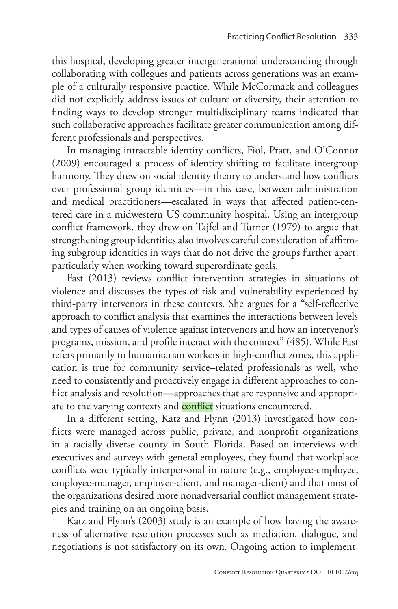this hospital, developing greater intergenerational understanding through collaborating with collegues and patients across generations was an example of a culturally responsive practice. While McCormack and colleagues did not explicitly address issues of culture or diversity, their attention to finding ways to develop stronger multidisciplinary teams indicated that such collaborative approaches facilitate greater communication among different professionals and perspectives.

In managing intractable identity conflicts, Fiol, Pratt, and O'Connor (2009) encouraged a process of identity shifting to facilitate intergroup harmony. They drew on social identity theory to understand how conflicts over professional group identities—in this case, between administration and medical practitioners—escalated in ways that affected patient-centered care in a midwestern US community hospital. Using an intergroup conflict framework, they drew on Tajfel and Turner (1979) to argue that strengthening group identities also involves careful consideration of affirming subgroup identities in ways that do not drive the groups further apart, particularly when working toward superordinate goals.

Fast (2013) reviews conflict intervention strategies in situations of violence and discusses the types of risk and vulnerability experienced by third-party intervenors in these contexts. She argues for a "self-reflective approach to conflict analysis that examines the interactions between levels and types of causes of violence against intervenors and how an intervenor's programs, mission, and profile interact with the context" (485). While Fast refers primarily to humanitarian workers in high-conflict zones, this application is true for community service–related professionals as well, who need to consistently and proactively engage in different approaches to conflict analysis and resolution—approaches that are responsive and appropriate to the varying contexts and **conflict** situations encountered.

In a different setting, Katz and Flynn (2013) investigated how conflicts were managed across public, private, and nonprofit organizations in a racially diverse county in South Florida. Based on interviews with executives and surveys with general employees, they found that workplace conflicts were typically interpersonal in nature (e.g., employee-employee, employee-manager, employer-client, and manager-client) and that most of the organizations desired more nonadversarial conflict management strategies and training on an ongoing basis.

Katz and Flynn's (2003) study is an example of how having the awareness of alternative resolution processes such as mediation, dialogue, and negotiations is not satisfactory on its own. Ongoing action to implement,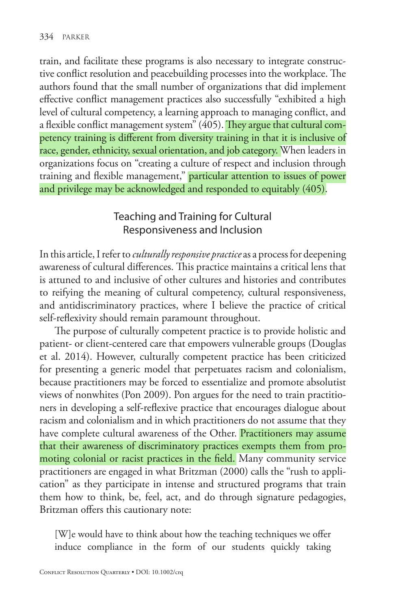train, and facilitate these programs is also necessary to integrate constructive conflict resolution and peacebuilding processes into the workplace. The authors found that the small number of organizations that did implement effective conflict management practices also successfully "exhibited a high level of cultural competency, a learning approach to managing conflict, and a flexible conflict management system" (405). They argue that cultural competency training is different from diversity training in that it is inclusive of race, gender, ethnicity, sexual orientation, and job category. When leaders in organizations focus on "creating a culture of respect and inclusion through training and flexible management," particular attention to issues of power and privilege may be acknowledged and responded to equitably (405).

## Teaching and Training for Cultural Responsiveness and Inclusion

In this article, I refer to *culturally responsive practice* as a process for deepening awareness of cultural differences. This practice maintains a critical lens that is attuned to and inclusive of other cultures and histories and contributes to reifying the meaning of cultural competency, cultural responsiveness, and antidiscriminatory practices, where I believe the practice of critical self-reflexivity should remain paramount throughout.

The purpose of culturally competent practice is to provide holistic and patient- or client-centered care that empowers vulnerable groups (Douglas et al. 2014). However, culturally competent practice has been criticized for presenting a generic model that perpetuates racism and colonialism, because practitioners may be forced to essentialize and promote absolutist views of nonwhites (Pon 2009). Pon argues for the need to train practitioners in developing a self-reflexive practice that encourages dialogue about racism and colonialism and in which practitioners do not assume that they have complete cultural awareness of the Other. Practitioners may assume that their awareness of discriminatory practices exempts them from promoting colonial or racist practices in the field. Many community service practitioners are engaged in what Britzman (2000) calls the "rush to application" as they participate in intense and structured programs that train them how to think, be, feel, act, and do through signature pedagogies, Britzman offers this cautionary note:

[W]e would have to think about how the teaching techniques we offer induce compliance in the form of our students quickly taking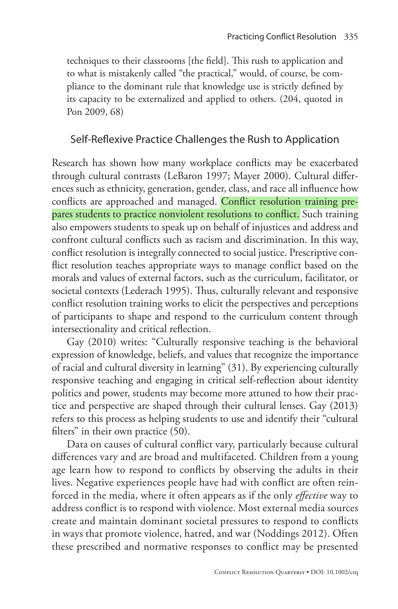techniques to their classrooms [the field]. This rush to application and to what is mistakenly called "the practical," would, of course, be compliance to the dominant rule that knowledge use is strictly defined by its capacity to be externalized and applied to others. (204, quoted in Pon 2009, 68)

### Self-Reflexive Practice Challenges the Rush to Application

Research has shown how many workplace conflicts may be exacerbated through cultural contrasts (LeBaron 1997; Mayer 2000). Cultural differences such as ethnicity, generation, gender, class, and race all influence how conflicts are approached and managed. Conflict resolution training prepares students to practice nonviolent resolutions to conflict. Such training also empowers students to speak up on behalf of injustices and address and confront cultural conflicts such as racism and discrimination. In this way, conflict resolution is integrally connected to social justice. Prescriptive conflict resolution teaches appropriate ways to manage conflict based on the morals and values of external factors, such as the curriculum, facilitator, or societal contexts (Lederach 1995). Thus, culturally relevant and responsive conflict resolution training works to elicit the perspectives and perceptions of participants to shape and respond to the curriculum content through intersectionality and critical reflection.

Gay (2010) writes: "Culturally responsive teaching is the behavioral expression of knowledge, beliefs, and values that recognize the importance of racial and cultural diversity in learning" (31). By experiencing culturally responsive teaching and engaging in critical self-reflection about identity politics and power, students may become more attuned to how their practice and perspective are shaped through their cultural lenses. Gay (2013) refers to this process as helping students to use and identify their "cultural filters" in their own practice  $(50)$ .

Data on causes of cultural conflict vary, particularly because cultural differences vary and are broad and multifaceted. Children from a young age learn how to respond to conflicts by observing the adults in their lives. Negative experiences people have had with conflict are often reinforced in the media, where it often appears as if the only *effective* way to address conflict is to respond with violence. Most external media sources create and maintain dominant societal pressures to respond to conflicts in ways that promote violence, hatred, and war (Noddings 2012). Often these prescribed and normative responses to conflict may be presented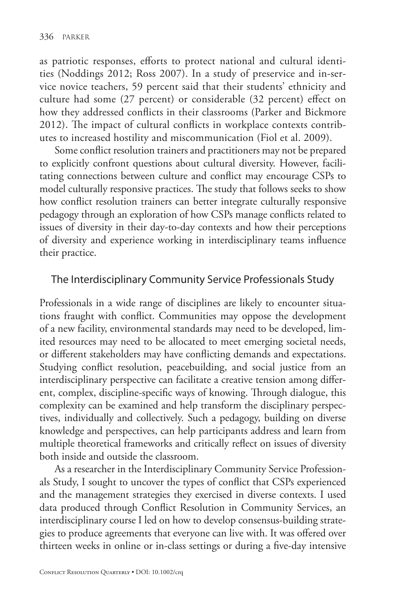as patriotic responses, efforts to protect national and cultural identities (Noddings 2012; Ross 2007). In a study of preservice and in-service novice teachers, 59 percent said that their students' ethnicity and culture had some (27 percent) or considerable (32 percent) effect on how they addressed conflicts in their classrooms (Parker and Bickmore 2012). The impact of cultural conflicts in workplace contexts contributes to increased hostility and miscommunication (Fiol et al. 2009).

Some conflict resolution trainers and practitioners may not be prepared to explicitly confront questions about cultural diversity. However, facilitating connections between culture and conflict may encourage CSPs to model culturally responsive practices. The study that follows seeks to show how conflict resolution trainers can better integrate culturally responsive pedagogy through an exploration of how CSPs manage conflicts related to issues of diversity in their day-to-day contexts and how their perceptions of diversity and experience working in interdisciplinary teams influence their practice.

#### The Interdisciplinary Community Service Professionals Study

Professionals in a wide range of disciplines are likely to encounter situations fraught with conflict. Communities may oppose the development of a new facility, environmental standards may need to be developed, limited resources may need to be allocated to meet emerging societal needs, or different stakeholders may have conflicting demands and expectations. Studying conflict resolution, peacebuilding, and social justice from an interdisciplinary perspective can facilitate a creative tension among different, complex, discipline-specific ways of knowing. Through dialogue, this complexity can be examined and help transform the disciplinary perspectives, individually and collectively. Such a pedagogy, building on diverse knowledge and perspectives, can help participants address and learn from multiple theoretical frameworks and critically reflect on issues of diversity both inside and outside the classroom.

As a researcher in the Interdisciplinary Community Service Professionals Study, I sought to uncover the types of conflict that CSPs experienced and the management strategies they exercised in diverse contexts. I used data produced through Conflict Resolution in Community Services, an interdisciplinary course I led on how to develop consensus-building strategies to produce agreements that everyone can live with. It was offered over thirteen weeks in online or in-class settings or during a five-day intensive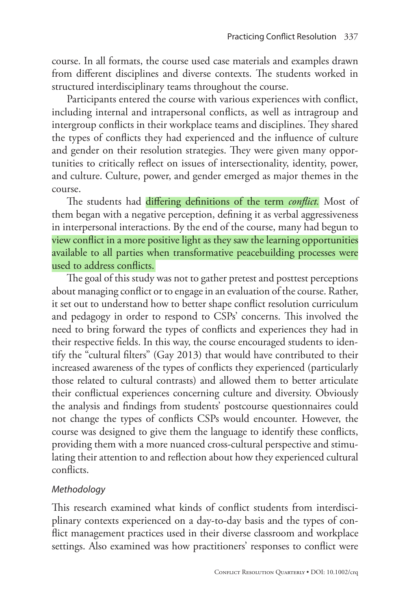course. In all formats, the course used case materials and examples drawn from different disciplines and diverse contexts. The students worked in structured interdisciplinary teams throughout the course.

Participants entered the course with various experiences with conflict, including internal and intrapersonal conflicts, as well as intragroup and intergroup conflicts in their workplace teams and disciplines. They shared the types of conflicts they had experienced and the influence of culture and gender on their resolution strategies. They were given many opportunities to critically reflect on issues of intersectionality, identity, power, and culture. Culture, power, and gender emerged as major themes in the course.

The students had differing definitions of the term *conflict*. Most of them began with a negative perception, defining it as verbal aggressiveness in interpersonal interactions. By the end of the course, many had begun to view conflict in a more positive light as they saw the learning opportunities available to all parties when transformative peacebuilding processes were used to address conflicts.

The goal of this study was not to gather pretest and posttest perceptions about managing conflict or to engage in an evaluation of the course. Rather, it set out to understand how to better shape conflict resolution curriculum and pedagogy in order to respond to CSPs' concerns. This involved the need to bring forward the types of conflicts and experiences they had in their respective fields. In this way, the course encouraged students to identify the "cultural filters" (Gay 2013) that would have contributed to their increased awareness of the types of conflicts they experienced (particularly those related to cultural contrasts) and allowed them to better articulate their conflictual experiences concerning culture and diversity. Obviously the analysis and findings from students' postcourse questionnaires could not change the types of conflicts CSPs would encounter. However, the course was designed to give them the language to identify these conflicts, providing them with a more nuanced cross-cultural perspective and stimulating their attention to and reflection about how they experienced cultural conflicts.

#### *Methodology*

This research examined what kinds of conflict students from interdisciplinary contexts experienced on a day-to-day basis and the types of conflict management practices used in their diverse classroom and workplace settings. Also examined was how practitioners' responses to conflict were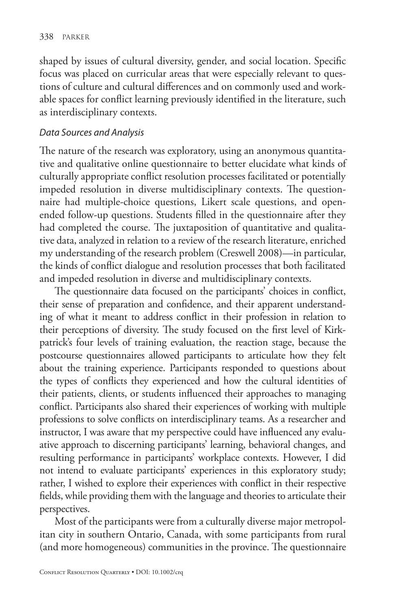shaped by issues of cultural diversity, gender, and social location. Specific focus was placed on curricular areas that were especially relevant to questions of culture and cultural differences and on commonly used and workable spaces for conflict learning previously identified in the literature, such as interdisciplinary contexts.

#### *Data Sources and Analysis*

The nature of the research was exploratory, using an anonymous quantitative and qualitative online questionnaire to better elucidate what kinds of culturally appropriate conflict resolution processes facilitated or potentially impeded resolution in diverse multidisciplinary contexts. The questionnaire had multiple-choice questions, Likert scale questions, and openended follow-up questions. Students filled in the questionnaire after they had completed the course. The juxtaposition of quantitative and qualitative data, analyzed in relation to a review of the research literature, enriched my understanding of the research problem (Creswell 2008)—in particular, the kinds of conflict dialogue and resolution processes that both facilitated and impeded resolution in diverse and multidisciplinary contexts.

The questionnaire data focused on the participants' choices in conflict, their sense of preparation and confidence, and their apparent understanding of what it meant to address conflict in their profession in relation to their perceptions of diversity. The study focused on the first level of Kirkpatrick's four levels of training evaluation, the reaction stage, because the postcourse questionnaires allowed participants to articulate how they felt about the training experience. Participants responded to questions about the types of conflicts they experienced and how the cultural identities of their patients, clients, or students influenced their approaches to managing conflict. Participants also shared their experiences of working with multiple professions to solve conflicts on interdisciplinary teams. As a researcher and instructor, I was aware that my perspective could have influenced any evaluative approach to discerning participants' learning, behavioral changes, and resulting performance in participants' workplace contexts. However, I did not intend to evaluate participants' experiences in this exploratory study; rather, I wished to explore their experiences with conflict in their respective fields, while providing them with the language and theories to articulate their perspectives.

Most of the participants were from a culturally diverse major metropolitan city in southern Ontario, Canada, with some participants from rural (and more homogeneous) communities in the province. The questionnaire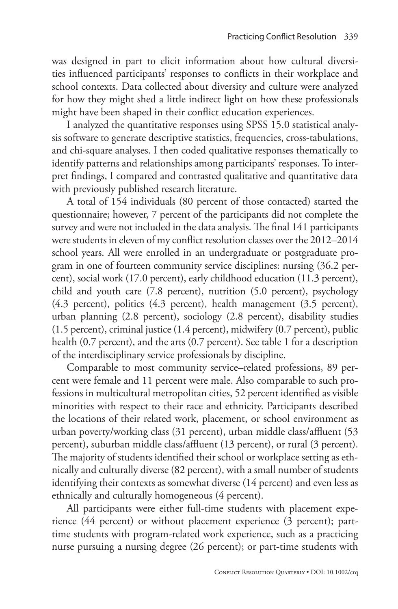was designed in part to elicit information about how cultural diversities influenced participants' responses to conflicts in their workplace and school contexts. Data collected about diversity and culture were analyzed for how they might shed a little indirect light on how these professionals might have been shaped in their conflict education experiences.

I analyzed the quantitative responses using SPSS 15.0 statistical analysis software to generate descriptive statistics, frequencies, cross-tabulations, and chi-square analyses. I then coded qualitative responses thematically to identify patterns and relationships among participants' responses. To interpret findings, I compared and contrasted qualitative and quantitative data with previously published research literature.

A total of 154 individuals (80 percent of those contacted) started the questionnaire; however, 7 percent of the participants did not complete the survey and were not included in the data analysis. The final 141 participants were students in eleven of my conflict resolution classes over the 2012–2014 school years. All were enrolled in an undergraduate or postgraduate program in one of fourteen community service disciplines: nursing (36.2 percent), social work (17.0 percent), early childhood education (11.3 percent), child and youth care (7.8 percent), nutrition (5.0 percent), psychology (4.3 percent), politics (4.3 percent), health management (3.5 percent), urban planning (2.8 percent), sociology (2.8 percent), disability studies (1.5 percent), criminal justice (1.4 percent), midwifery (0.7 percent), public health (0.7 percent), and the arts (0.7 percent). See table 1 for a description of the interdisciplinary service professionals by discipline.

Comparable to most community service–related professions, 89 percent were female and 11 percent were male. Also comparable to such professions in multicultural metropolitan cities, 52 percent identified as visible minorities with respect to their race and ethnicity. Participants described the locations of their related work, placement, or school environment as urban poverty/working class (31 percent), urban middle class/affluent (53 percent), suburban middle class/affluent (13 percent), or rural (3 percent). The majority of students identified their school or workplace setting as ethnically and culturally diverse (82 percent), with a small number of students identifying their contexts as somewhat diverse (14 percent) and even less as ethnically and culturally homogeneous (4 percent).

All participants were either full-time students with placement experience (44 percent) or without placement experience (3 percent); parttime students with program-related work experience, such as a practicing nurse pursuing a nursing degree (26 percent); or part-time students with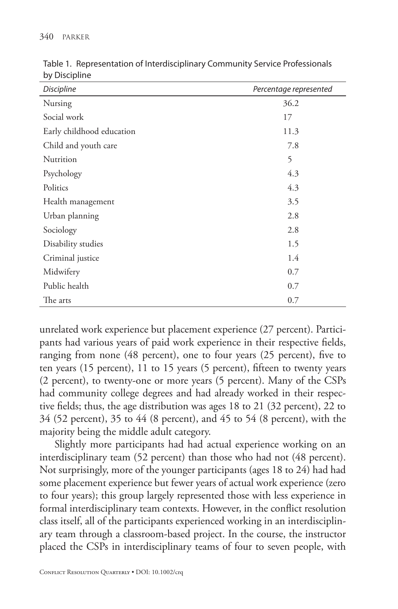| <b>Discipline</b>         | Percentage represented |
|---------------------------|------------------------|
| Nursing                   | 36.2                   |
| Social work               | 17                     |
| Early childhood education | 11.3                   |
| Child and youth care      | 7.8                    |
| Nutrition                 | 5                      |
| Psychology                | 4.3                    |
| Politics                  | 4.3                    |
| Health management         | 3.5                    |
| Urban planning            | 2.8                    |
| Sociology                 | 2.8                    |
| Disability studies        | 1.5                    |
| Criminal justice          | 1.4                    |
| Midwifery                 | 0.7                    |
| Public health             | 0.7                    |
| The arts                  | 0.7                    |

Table 1. Representation of Interdisciplinary Community Service Professionals by Discipline

 unrelated work experience but placement experience (27 percent). Participants had various years of paid work experience in their respective fields, ranging from none  $(48$  percent), one to four years  $(25$  percent), five to ten years  $(15$  percent),  $11$  to  $15$  years  $(5$  percent), fifteen to twenty years (2 percent), to twenty-one or more years (5 percent). Many of the CSPs had community college degrees and had already worked in their respective fields; thus, the age distribution was ages 18 to 21 (32 percent), 22 to 34 (52 percent), 35 to 44 (8 percent), and 45 to 54 (8 percent), with the majority being the middle adult category.

Slightly more participants had had actual experience working on an interdisciplinary team (52 percent) than those who had not (48 percent). Not surprisingly, more of the younger participants (ages 18 to 24) had had some placement experience but fewer years of actual work experience (zero to four years); this group largely represented those with less experience in formal interdisciplinary team contexts. However, in the conflict resolution class itself, all of the participants experienced working in an interdisciplinary team through a classroom-based project. In the course, the instructor placed the CSPs in interdisciplinary teams of four to seven people, with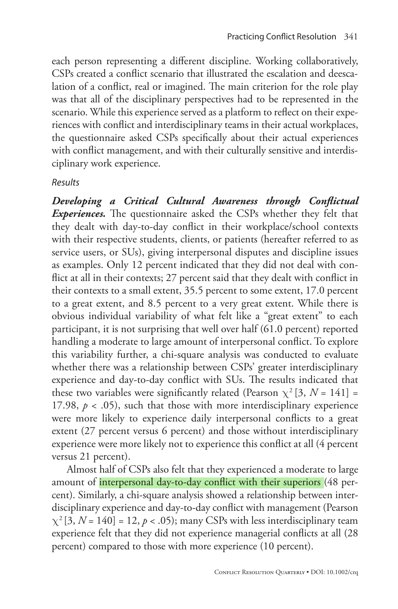each person representing a different discipline. Working collaboratively, CSPs created a conflict scenario that illustrated the escalation and deescalation of a conflict, real or imagined. The main criterion for the role play was that all of the disciplinary perspectives had to be represented in the scenario. While this experience served as a platform to reflect on their experiences with conflict and interdisciplinary teams in their actual workplaces, the questionnaire asked CSPs specifically about their actual experiences with conflict management, and with their culturally sensitive and interdisciplinary work experience.

#### *Results*

*Developing a Critical Cultural Awareness through Conflictual Experiences*. The questionnaire asked the CSPs whether they felt that they dealt with day-to-day conflict in their workplace/school contexts with their respective students, clients, or patients (hereafter referred to as service users, or SUs), giving interpersonal disputes and discipline issues as examples. Only 12 percent indicated that they did not deal with conflict at all in their contexts; 27 percent said that they dealt with conflict in their contexts to a small extent, 35.5 percent to some extent, 17 .0 percent to a great extent, and 8.5 percent to a very great extent. While there is obvious individual variability of what felt like a "great extent" to each participant, it is not surprising that well over half (61.0 percent) reported handling a moderate to large amount of interpersonal conflict. To explore this variability further, a chi-square analysis was conducted to evaluate whether there was a relationship between CSPs' greater interdisciplinary experience and day-to-day conflict with SUs. The results indicated that these two variables were significantly related (Pearson  $\chi^2$  [3, *N* = 141] = 17.98,  $p < .05$ ), such that those with more interdisciplinary experience were more likely to experience daily interpersonal conflicts to a great extent (27 percent versus 6 percent) and those without interdisciplinary experience were more likely not to experience this conflict at all (4 percent versus 21 percent).

Almost half of CSPs also felt that they experienced a moderate to large amount of interpersonal day-to-day conflict with their superiors (48 percent). Similarly, a chi-square analysis showed a relationship between interdisciplinary experience and day-to-day conflict with management (Pearson  $\chi^2$  [3, *N* = 140] = 12, *p* < .05); many CSPs with less interdisciplinary team experience felt that they did not experience managerial conflicts at all (28) percent) compared to those with more experience (10 percent).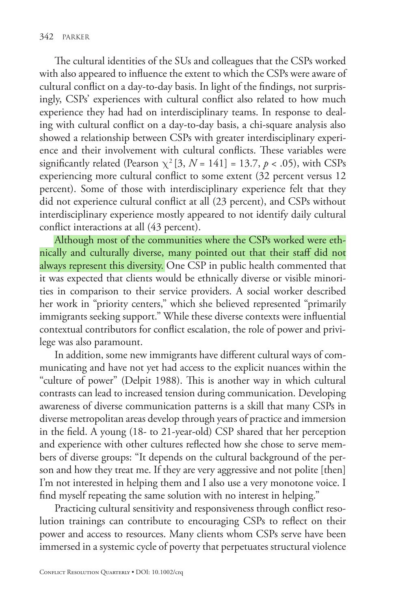The cultural identities of the SUs and colleagues that the CSPs worked with also appeared to influence the extent to which the CSPs were aware of cultural conflict on a day-to-day basis. In light of the findings, not surprisingly, CSPs' experiences with cultural conflict also related to how much experience they had had on interdisciplinary teams. In response to dealing with cultural conflict on a day-to-day basis, a chi-square analysis also showed a relationship between CSPs with greater interdisciplinary experience and their involvement with cultural conflicts. These variables were significantly related (Pearson  $\chi^2$  [3, *N* = 141] = 13.7, *p* < .05), with CSPs experiencing more cultural conflict to some extent (32 percent versus 12 percent). Some of those with interdisciplinary experience felt that they did not experience cultural conflict at all (23 percent), and CSPs without interdisciplinary experience mostly appeared to not identify daily cultural conflict interactions at all (43 percent).

Although most of the communities where the CSPs worked were ethnically and culturally diverse, many pointed out that their staff did not always represent this diversity. One CSP in public health commented that it was expected that clients would be ethnically diverse or visible minorities in comparison to their service providers. A social worker described her work in "priority centers," which she believed represented "primarily immigrants seeking support." While these diverse contexts were influential contextual contributors for conflict escalation, the role of power and privilege was also paramount.

In addition, some new immigrants have different cultural ways of communicating and have not yet had access to the explicit nuances within the "culture of power" (Delpit 1988). This is another way in which cultural contrasts can lead to increased tension during communication. Developing awareness of diverse communication patterns is a skill that many CSPs in diverse metropolitan areas develop through years of practice and immersion in the field. A young (18- to 21-year-old) CSP shared that her perception and experience with other cultures reflected how she chose to serve members of diverse groups: "It depends on the cultural background of the person and how they treat me. If they are very aggressive and not polite [then] I'm not interested in helping them and I also use a very monotone voice. I find myself repeating the same solution with no interest in helping."

Practicing cultural sensitivity and responsiveness through conflict resolution trainings can contribute to encouraging CSPs to reflect on their power and access to resources. Many clients whom CSPs serve have been immersed in a systemic cycle of poverty that perpetuates structural violence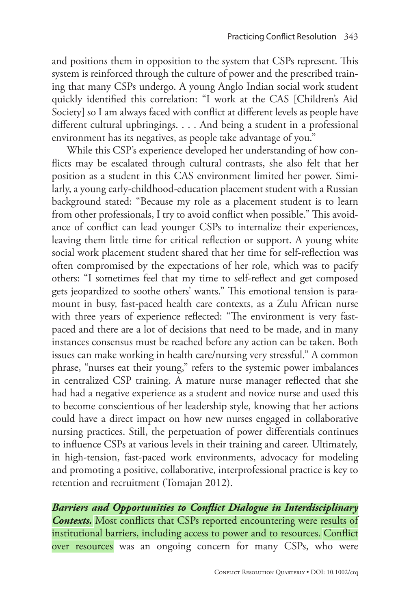and positions them in opposition to the system that CSPs represent. This system is reinforced through the culture of power and the prescribed training that many CSPs undergo. A young Anglo Indian social work student quickly identified this correlation: "I work at the CAS [Children's Aid Society] so I am always faced with conflict at different levels as people have different cultural upbringings. . . . And being a student in a professional environment has its negatives, as people take advantage of you."

While this CSP's experience developed her understanding of how conflicts may be escalated through cultural contrasts, she also felt that her position as a student in this CAS environment limited her power. Similarly, a young early-childhood-education placement student with a Russian background stated: "Because my role as a placement student is to learn from other professionals, I try to avoid conflict when possible." This avoidance of conflict can lead younger CSPs to internalize their experiences, leaving them little time for critical reflection or support. A young white social work placement student shared that her time for self-reflection was often compromised by the expectations of her role, which was to pacify others: "I sometimes feel that my time to self-reflect and get composed gets jeopardized to soothe others' wants." This emotional tension is paramount in busy, fast-paced health care contexts, as a Zulu African nurse with three years of experience reflected: "The environment is very fastpaced and there are a lot of decisions that need to be made, and in many instances consensus must be reached before any action can be taken. Both issues can make working in health care/nursing very stressful." A common phrase, "nurses eat their young," refers to the systemic power imbalances in centralized CSP training. A mature nurse manager reflected that she had had a negative experience as a student and novice nurse and used this to become conscientious of her leadership style, knowing that her actions could have a direct impact on how new nurses engaged in collaborative nursing practices. Still, the perpetuation of power differentials continues to influence CSPs at various levels in their training and career. Ultimately, in high-tension, fast-paced work environments, advocacy for modeling and promoting a positive, collaborative, interprofessional practice is key to retention and recruitment (Tomajan 2012).

**Barriers and Opportunities to Conflict Dialogue in Interdisciplinary Contexts.** Most conflicts that CSPs reported encountering were results of institutional barriers, including access to power and to resources. Conflict over resources was an ongoing concern for many CSPs, who were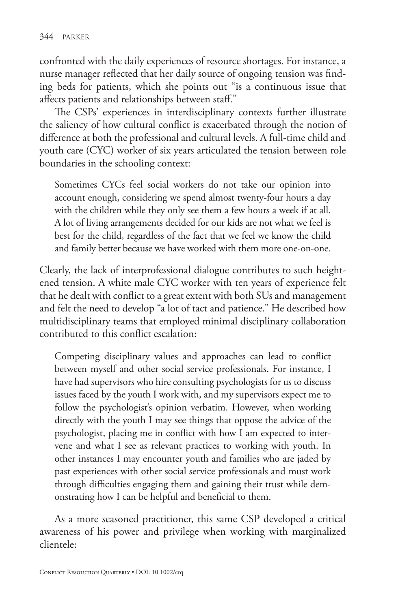confronted with the daily experiences of resource shortages. For instance, a nurse manager reflected that her daily source of ongoing tension was finding beds for patients, which she points out "is a continuous issue that affects patients and relationships between staff."

The CSPs' experiences in interdisciplinary contexts further illustrate the saliency of how cultural conflict is exacerbated through the notion of difference at both the professional and cultural levels. A full-time child and youth care (CYC) worker of six years articulated the tension between role boundaries in the schooling context:

Sometimes CYCs feel social workers do not take our opinion into account enough, considering we spend almost twenty-four hours a day with the children while they only see them a few hours a week if at all. A lot of living arrangements decided for our kids are not what we feel is best for the child, regardless of the fact that we feel we know the child and family better because we have worked with them more one-on-one.

Clearly, the lack of interprofessional dialogue contributes to such heightened tension. A white male CYC worker with ten years of experience felt that he dealt with conflict to a great extent with both SUs and management and felt the need to develop "a lot of tact and patience." He described how multidisciplinary teams that employed minimal disciplinary collaboration contributed to this conflict escalation:

Competing disciplinary values and approaches can lead to conflict between myself and other social service professionals. For instance, I have had supervisors who hire consulting psychologists for us to discuss issues faced by the youth I work with, and my supervisors expect me to follow the psychologist's opinion verbatim. However, when working directly with the youth I may see things that oppose the advice of the psychologist, placing me in conflict with how I am expected to intervene and what I see as relevant practices to working with youth. In other instances I may encounter youth and families who are jaded by past experiences with other social service professionals and must work through difficulties engaging them and gaining their trust while demonstrating how I can be helpful and beneficial to them.

As a more seasoned practitioner, this same CSP developed a critical awareness of his power and privilege when working with marginalized clientele: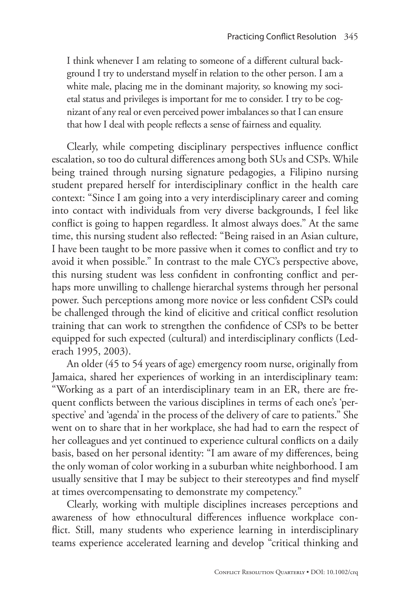I think whenever I am relating to someone of a different cultural background I try to understand myself in relation to the other person. I am a white male, placing me in the dominant majority, so knowing my societal status and privileges is important for me to consider. I try to be cognizant of any real or even perceived power imbalances so that I can ensure that how I deal with people reflects a sense of fairness and equality.

Clearly, while competing disciplinary perspectives influence conflict escalation, so too do cultural differences among both SUs and CSPs. While being trained through nursing signature pedagogies, a Filipino nursing student prepared herself for interdisciplinary conflict in the health care context: "Since I am going into a very interdisciplinary career and coming into contact with individuals from very diverse backgrounds, I feel like conflict is going to happen regardless. It almost always does." At the same time, this nursing student also reflected: "Being raised in an Asian culture, I have been taught to be more passive when it comes to conflict and try to avoid it when possible." In contrast to the male CYC's perspective above, this nursing student was less confident in confronting conflict and perhaps more unwilling to challenge hierarchal systems through her personal power. Such perceptions among more novice or less confident CSPs could be challenged through the kind of elicitive and critical conflict resolution training that can work to strengthen the confidence of CSPs to be better equipped for such expected (cultural) and interdisciplinary conflicts (Lederach 1995, 2003).

An older (45 to 54 years of age) emergency room nurse, originally from Jamaica, shared her experiences of working in an interdisciplinary team: "Working as a part of an interdisciplinary team in an ER, there are frequent conflicts between the various disciplines in terms of each one's 'perspective' and 'agenda' in the process of the delivery of care to patients." She went on to share that in her workplace, she had had to earn the respect of her colleagues and yet continued to experience cultural conflicts on a daily basis, based on her personal identity: "I am aware of my differences, being the only woman of color working in a suburban white neighborhood. I am usually sensitive that I may be subject to their stereotypes and find myself at times overcompensating to demonstrate my competency."

Clearly, working with multiple disciplines increases perceptions and awareness of how ethnocultural differences influence workplace conflict. Still, many students who experience learning in interdisciplinary teams experience accelerated learning and develop "critical thinking and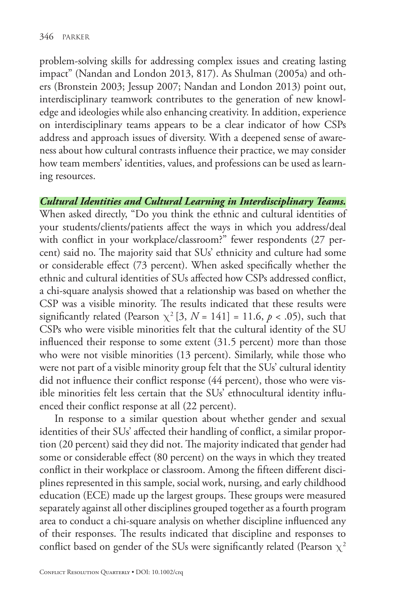problem-solving skills for addressing complex issues and creating lasting impact" (Nandan and London 2013, 817). As Shulman (2005a) and others (Bronstein 2003; Jessup 2007; Nandan and London 2013) point out, interdisciplinary teamwork contributes to the generation of new knowledge and ideologies while also enhancing creativity. In addition, experience on interdisciplinary teams appears to be a clear indicator of how CSPs address and approach issues of diversity. With a deepened sense of awareness about how cultural contrasts influence their practice, we may consider how team members' identities, values, and professions can be used as learning resources.

#### *Cultural Identities and Cultural Learning in Interdisciplinary Teams.*

When asked directly, "Do you think the ethnic and cultural identities of your students/clients/patients affect the ways in which you address/deal with conflict in your workplace/classroom?" fewer respondents (27 percent) said no. The majority said that SUs' ethnicity and culture had some or considerable effect (73 percent). When asked specifically whether the ethnic and cultural identities of SUs affected how CSPs addressed conflict, a chi-square analysis showed that a relationship was based on whether the CSP was a visible minority. The results indicated that these results were significantly related (Pearson  $\chi^2$  [3, *N* = 141] = 11.6, *p* < .05), such that CSPs who were visible minorities felt that the cultural identity of the SU influenced their response to some extent (31.5 percent) more than those who were not visible minorities (13 percent). Similarly, while those who were not part of a visible minority group felt that the SUs' cultural identity did not influence their conflict response (44 percent), those who were visible minorities felt less certain that the SUs' ethnocultural identity influenced their conflict response at all (22 percent).

In response to a similar question about whether gender and sexual identities of their SUs' affected their handling of conflict, a similar proportion (20 percent) said they did not. The majority indicated that gender had some or considerable effect (80 percent) on the ways in which they treated conflict in their workplace or classroom. Among the fifteen different disciplines represented in this sample, social work, nursing, and early childhood education (ECE) made up the largest groups. These groups were measured separately against all other disciplines grouped together as a fourth program area to conduct a chi-square analysis on whether discipline influenced any of their responses. The results indicated that discipline and responses to conflict based on gender of the SUs were significantly related (Pearson  $\chi^2$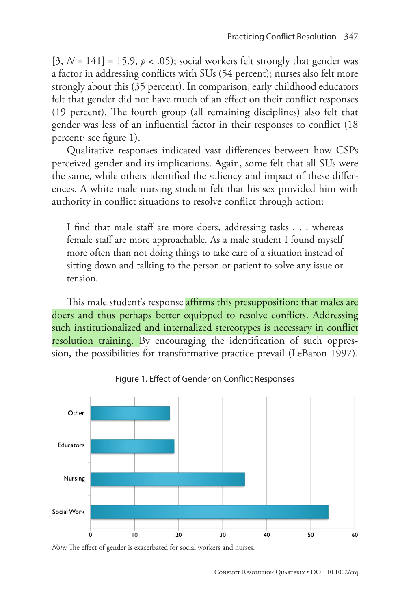$[3, N = 141] = 15.9, p < .05$ ; social workers felt strongly that gender was a factor in addressing conflicts with SUs (54 percent); nurses also felt more strongly about this (35 percent). In comparison, early childhood educators felt that gender did not have much of an effect on their conflict responses (19 percent). The fourth group (all remaining disciplines) also felt that gender was less of an influential factor in their responses to conflict (18 percent; see figure 1).

Qualitative responses indicated vast differences between how CSPs perceived gender and its implications. Again, some felt that all SUs were the same, while others identified the saliency and impact of these differences. A white male nursing student felt that his sex provided him with authority in conflict situations to resolve conflict through action:

I find that male staff are more doers, addressing tasks . . . whereas female staff are more approachable. As a male student I found myself more often than not doing things to take care of a situation instead of sitting down and talking to the person or patient to solve any issue or tension.

This male student's response affirms this presupposition: that males are doers and thus perhaps better equipped to resolve conflicts. Addressing such institutionalized and internalized stereotypes is necessary in conflict resolution training. By encouraging the identification of such oppression, the possibilities for transformative practice prevail (LeBaron 1997).



Figure 1. Effect of Gender on Conflict Responses

*Note:* The effect of gender is exacerbated for social workers and nurses.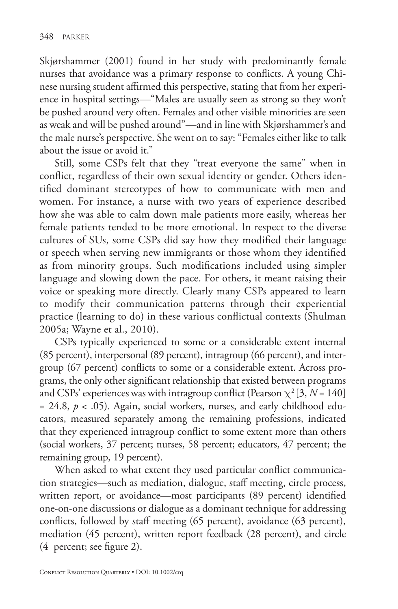Skjørshammer (2001) found in her study with predominantly female nurses that avoidance was a primary response to conflicts. A young Chinese nursing student affirmed this perspective, stating that from her experience in hospital settings—"Males are usually seen as strong so they won't be pushed around very often. Females and other visible minorities are seen as weak and will be pushed around"—and in line with Skjørshammer's and the male nurse's perspective. She went on to say: "Females either like to talk about the issue or avoid it."

Still, some CSPs felt that they "treat everyone the same" when in conflict, regardless of their own sexual identity or gender. Others identified dominant stereotypes of how to communicate with men and women. For instance, a nurse with two years of experience described how she was able to calm down male patients more easily, whereas her female patients tended to be more emotional. In respect to the diverse cultures of SUs, some CSPs did say how they modified their language or speech when serving new immigrants or those whom they identified as from minority groups. Such modifications included using simpler language and slowing down the pace. For others, it meant raising their voice or speaking more directly. Clearly many CSPs appeared to learn to modify their communication patterns through their experiential practice (learning to do) in these various conflictual contexts (Shulman 2005a; Wayne et al., 2010).

CSPs typically experienced to some or a considerable extent internal (85 percent), interpersonal (89 percent), intragroup (66 percent), and intergroup (67 percent) conflicts to some or a considerable extent. Across programs, the only other significant relationship that existed between programs and CSPs' experiences was with intragroup conflict (Pearson  $\chi^2$  [3, *N* = 140]  $= 24.8, p < .05$ ). Again, social workers, nurses, and early childhood educators, measured separately among the remaining professions, indicated that they experienced intragroup conflict to some extent more than others (social workers, 37 percent; nurses, 58 percent; educators, 47 percent; the remaining group, 19 percent).

When asked to what extent they used particular conflict communication strategies—such as mediation, dialogue, staff meeting, circle process, written report, or avoidance—most participants (89 percent) identified one-on-one discussions or dialogue as a dominant technique for addressing conflicts, followed by staff meeting (65 percent), avoidance (63 percent), mediation (45 percent), written report feedback (28 percent), and circle  $(4$  percent; see figure 2).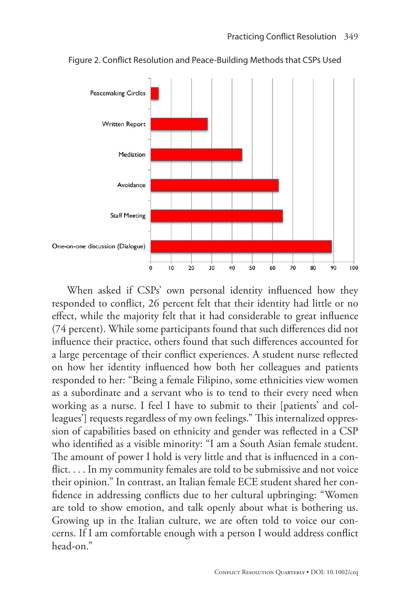

Figure 2. Conflict Resolution and Peace-Building Methods that CSPs Used

When asked if CSPs' own personal identity influenced how they responded to conflict, 26 percent felt that their identity had little or no effect, while the majority felt that it had considerable to great influence (74 percent). While some participants found that such differences did not influence their practice, others found that such differences accounted for a large percentage of their conflict experiences. A student nurse reflected on how her identity influenced how both her colleagues and patients responded to her: "Being a female Filipino, some ethnicities view women as a subordinate and a servant who is to tend to their every need when working as a nurse. I feel I have to submit to their [patients' and colleagues'] requests regardless of my own feelings." This internalized oppression of capabilities based on ethnicity and gender was reflected in a CSP who identified as a visible minority: "I am a South Asian female student. The amount of power I hold is very little and that is influenced in a conflict.  $\dots$  In my community females are told to be submissive and not voice their opinion." In contrast, an Italian female ECE student shared her confidence in addressing conflicts due to her cultural upbringing: "Women are told to show emotion, and talk openly about what is bothering us. Growing up in the Italian culture, we are often told to voice our concerns. If I am comfortable enough with a person I would address conflict head-on."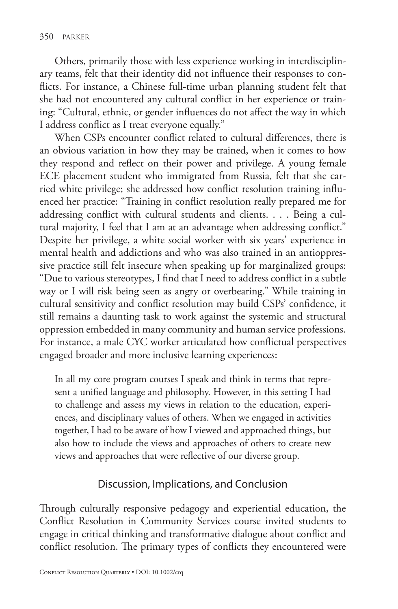Others, primarily those with less experience working in interdisciplinary teams, felt that their identity did not influence their responses to conflicts. For instance, a Chinese full-time urban planning student felt that she had not encountered any cultural conflict in her experience or training: "Cultural, ethnic, or gender influences do not affect the way in which I address conflict as I treat everyone equally."

When CSPs encounter conflict related to cultural differences, there is an obvious variation in how they may be trained, when it comes to how they respond and reflect on their power and privilege. A young female ECE placement student who immigrated from Russia, felt that she carried white privilege; she addressed how conflict resolution training influenced her practice: "Training in conflict resolution really prepared me for addressing conflict with cultural students and clients. . . . Being a cultural majority, I feel that I am at an advantage when addressing conflict." Despite her privilege, a white social worker with six years' experience in mental health and addictions and who was also trained in an antioppressive practice still felt insecure when speaking up for marginalized groups: "Due to various stereotypes, I find that I need to address conflict in a subtle way or I will risk being seen as angry or overbearing." While training in cultural sensitivity and conflict resolution may build CSPs' confidence, it still remains a daunting task to work against the systemic and structural oppression embedded in many community and human service professions. For instance, a male CYC worker articulated how conflictual perspectives engaged broader and more inclusive learning experiences:

In all my core program courses I speak and think in terms that represent a unified language and philosophy. However, in this setting I had to challenge and assess my views in relation to the education, experiences, and disciplinary values of others. When we engaged in activities together, I had to be aware of how I viewed and approached things, but also how to include the views and approaches of others to create new views and approaches that were reflective of our diverse group.

#### Discussion, Implications, and Conclusion

Through culturally responsive pedagogy and experiential education, the Conflict Resolution in Community Services course invited students to engage in critical thinking and transformative dialogue about conflict and conflict resolution. The primary types of conflicts they encountered were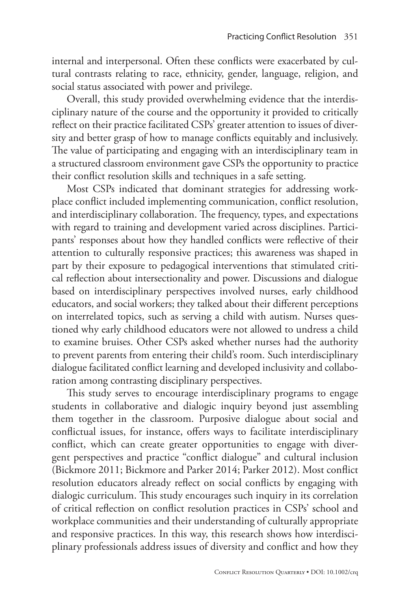internal and interpersonal. Often these conflicts were exacerbated by cultural contrasts relating to race, ethnicity, gender, language, religion, and social status associated with power and privilege.

Overall, this study provided overwhelming evidence that the interdisciplinary nature of the course and the opportunity it provided to critically reflect on their practice facilitated CSPs' greater attention to issues of diversity and better grasp of how to manage conflicts equitably and inclusively. The value of participating and engaging with an interdisciplinary team in a structured classroom environment gave CSPs the opportunity to practice their conflict resolution skills and techniques in a safe setting.

Most CSPs indicated that dominant strategies for addressing workplace conflict included implementing communication, conflict resolution, and interdisciplinary collaboration. The frequency, types, and expectations with regard to training and development varied across disciplines. Participants' responses about how they handled conflicts were reflective of their attention to culturally responsive practices; this awareness was shaped in part by their exposure to pedagogical interventions that stimulated critical reflection about intersectionality and power. Discussions and dialogue based on interdisciplinary perspectives involved nurses, early childhood educators, and social workers; they talked about their different perceptions on interrelated topics, such as serving a child with autism. Nurses questioned why early childhood educators were not allowed to undress a child to examine bruises. Other CSPs asked whether nurses had the authority to prevent parents from entering their child's room. Such interdisciplinary dialogue facilitated conflict learning and developed inclusivity and collaboration among contrasting disciplinary perspectives.

This study serves to encourage interdisciplinary programs to engage students in collaborative and dialogic inquiry beyond just assembling them together in the classroom. Purposive dialogue about social and conflictual issues, for instance, offers ways to facilitate interdisciplinary conflict, which can create greater opportunities to engage with divergent perspectives and practice "conflict dialogue" and cultural inclusion (Bickmore 2011; Bickmore and Parker 2014; Parker 2012). Most conflict resolution educators already reflect on social conflicts by engaging with dialogic curriculum. This study encourages such inquiry in its correlation of critical reflection on conflict resolution practices in CSPs' school and workplace communities and their understanding of culturally appropriate and responsive practices. In this way, this research shows how interdisciplinary professionals address issues of diversity and conflict and how they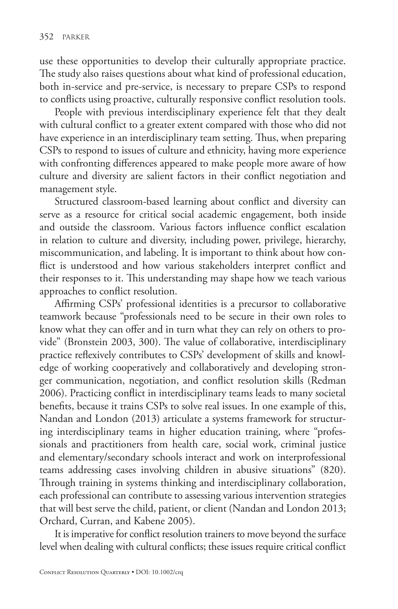use these opportunities to develop their culturally appropriate practice. The study also raises questions about what kind of professional education, both in-service and pre-service, is necessary to prepare CSPs to respond to conflicts using proactive, culturally responsive conflict resolution tools.

People with previous interdisciplinary experience felt that they dealt with cultural conflict to a greater extent compared with those who did not have experience in an interdisciplinary team setting. Thus, when preparing CSPs to respond to issues of culture and ethnicity, having more experience with confronting differences appeared to make people more aware of how culture and diversity are salient factors in their conflict negotiation and management style.

Structured classroom-based learning about conflict and diversity can serve as a resource for critical social academic engagement, both inside and outside the classroom. Various factors influence conflict escalation in relation to culture and diversity, including power, privilege, hierarchy, miscommunication, and labeling. It is important to think about how conflict is understood and how various stakeholders interpret conflict and their responses to it. This understanding may shape how we teach various approaches to conflict resolution.

Affirming CSPs' professional identities is a precursor to collaborative teamwork because "professionals need to be secure in their own roles to know what they can offer and in turn what they can rely on others to provide" (Bronstein 2003, 300). The value of collaborative, interdisciplinary practice reflexively contributes to CSPs' development of skills and knowledge of working cooperatively and collaboratively and developing stronger communication, negotiation, and conflict resolution skills (Redman 2006). Practicing conflict in interdisciplinary teams leads to many societal benefits, because it trains CSPs to solve real issues. In one example of this, Nandan and London (2013) articulate a systems framework for structuring interdisciplinary teams in higher education training, where "professionals and practitioners from health care, social work, criminal justice and elementary/secondary schools interact and work on interprofessional teams addressing cases involving children in abusive situations" (820). Through training in systems thinking and interdisciplinary collaboration, each professional can contribute to assessing various intervention strategies that will best serve the child, patient, or client (Nandan and London 2013; Orchard, Curran, and Kabene 2005).

It is imperative for conflict resolution trainers to move beyond the surface level when dealing with cultural conflicts; these issues require critical conflict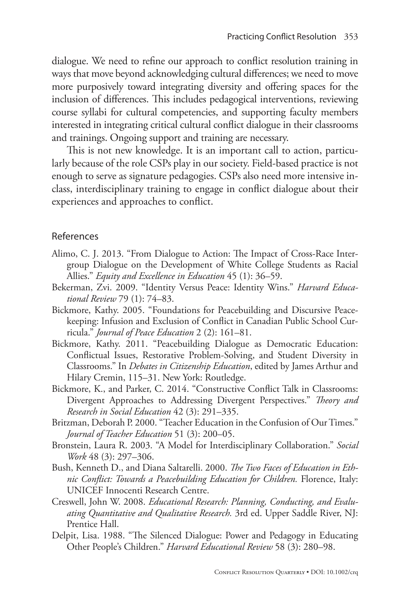dialogue. We need to refine our approach to conflict resolution training in ways that move beyond acknowledging cultural differences; we need to move more purposively toward integrating diversity and offering spaces for the inclusion of differences. This includes pedagogical interventions, reviewing course syllabi for cultural competencies, and supporting faculty members interested in integrating critical cultural conflict dialogue in their classrooms and trainings. Ongoing support and training are necessary.

This is not new knowledge. It is an important call to action, particularly because of the role CSPs play in our society. Field-based practice is not enough to serve as signature pedagogies. CSPs also need more intensive inclass, interdisciplinary training to engage in conflict dialogue about their experiences and approaches to conflict.

#### References

- Alimo, C. J. 2013. "From Dialogue to Action: The Impact of Cross-Race Intergroup Dialogue on the Development of White College Students as Racial Allies." *Equity and Excellence in Education* 45 (1): 36–59.
- Bekerman, Zvi. 2009. "Identity Versus Peace: Identity Wins." *Harvard Educational Review* 79 (1): 74–83.
- Bickmore, Kathy. 2005. "Foundations for Peacebuilding and Discursive Peacekeeping: Infusion and Exclusion of Conflict in Canadian Public School Curricula." *Journal of Peace Education* 2 (2): 161–81.
- Bickmore, Kathy. 2011. "Peacebuilding Dialogue as Democratic Education: Conflictual Issues, Restorative Problem-Solving, and Student Diversity in Classrooms." In *Debates in Citizenship Education*, edited by James Arthur and Hilary Cremin, 115–31. New York: Routledge.
- Bickmore, K., and Parker, C. 2014. "Constructive Conflict Talk in Classrooms: Divergent Approaches to Addressing Divergent Perspectives." Theory and *Research in Social Education* 42 (3): 291–335.
- Britzman, Deborah P. 2000. "Teacher Education in the Confusion of Our Times." *Journal of Teacher Education* 51 (3): 200–05.
- Bronstein, Laura R. 2003. "A Model for Interdisciplinary Collaboration." *Social Work* 48 (3): 297–306.
- Bush, Kenneth D., and Diana Saltarelli. 2000. *The Two Faces of Education in Ethnic Confl ict: Towards a Peacebuilding Education for Children.* Florence, Italy: UNICEF Innocenti Research Centre.
- Creswell, John W. 2008. *Educational Research: Planning, Conducting, and Evaluating Quantitative and Qualitative Research.* 3rd ed. Upper Saddle River, NJ: Prentice Hall.
- Delpit, Lisa. 1988. "The Silenced Dialogue: Power and Pedagogy in Educating Other People's Children." *Harvard Educational Review* 58 (3): 280–98.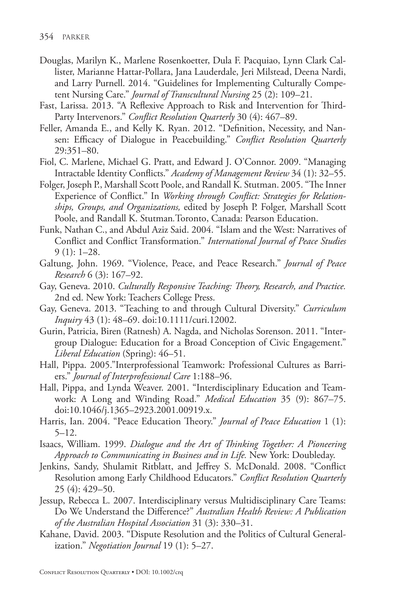- Douglas, Marilyn K., Marlene Rosenkoetter, Dula F. Pacquiao, Lynn Clark Callister, Marianne Hattar-Pollara, Jana Lauderdale, Jeri Milstead, Deena Nardi, and Larry Purnell. 2014. "Guidelines for Implementing Culturally Competent Nursing Care." *Journal of Transcultural Nursing* 25 (2): 109–21.
- Fast, Larissa. 2013. "A Reflexive Approach to Risk and Intervention for Third-Party Intervenors." *Conflict Resolution Quarterly* 30 (4): 467–89.
- Feller, Amanda E., and Kelly K. Ryan. 2012. "Definition, Necessity, and Nansen: Efficacy of Dialogue in Peacebuilding." Conflict Resolution Quarterly 29:351–80.
- Fiol, C. Marlene, Michael G. Pratt, and Edward J. O'Connor. 2009. "Managing Intractable Identity Conflicts." *Academy of Management Review* 34 (1): 32-55.
- Folger, Joseph P., Marshall Scott Poole, and Randall K. Stutman. 2005. "The Inner Experience of Conflict." In *Working through Conflict: Strategies for Relationships, Groups, and Organizations,* edited by Joseph P. Folger, Marshall Scott Poole, and Randall K. Stutman*.*Toronto, Canada: Pearson Education.
- Funk, Nathan C., and Abdul Aziz Said. 2004. "Islam and the West: Narratives of Conflict and Conflict Transformation." *International Journal of Peace Studies* 9 (1): 1–28.
- Galtung, John. 1969. "Violence, Peace, and Peace Research." *Journal of Peace Research* 6 (3): 167–92.
- Gay, Geneva. 2010. *Culturally Responsive Teaching: T eory, Research, and Practice.* 2nd ed. New York: Teachers College Press.
- Gay, Geneva. 2013. "Teaching to and through Cultural Diversity." *Curriculum Inquiry* 43 (1): 48–69. doi:10.1111/curi.12002.
- Gurin, Patricia, Biren (Ratnesh) A. Nagda, and Nicholas Sorenson. 2011. "Intergroup Dialogue: Education for a Broad Conception of Civic Engagement." *Liberal Education* (Spring): 46–51.
- Hall, Pippa. 2005."Interprofessional Teamwork: Professional Cultures as Barriers." *Journal of Interprofessional Care* 1:188–96.
- Hall, Pippa, and Lynda Weaver. 2001. "Interdisciplinary Education and Teamwork: A Long and Winding Road." *Medical Education* 35 (9): 867–75. doi:10.1046/j.1365–2923.2001.00919.x.
- Harris, Ian. 2004. "Peace Education Theory." *Journal of Peace Education* 1 (1): 5–12.
- Isaacs, William. 1999. *Dialogue and the Art of T inking Together: A Pioneering Approach to Communicating in Business and in Life.* New York: Doubleday.
- Jenkins, Sandy, Shulamit Ritblatt, and Jeffrey S. McDonald. 2008. "Conflict Resolution among Early Childhood Educators." *Conflict Resolution Quarterly* 25 (4): 429–50.
- Jessup, Rebecca L. 2007. Interdisciplinary versus Multidisciplinary Care Teams: Do We Understand the Difference?" Australian Health Review: A Publication *of the Australian Hospital Association* 31 (3): 330–31.
- Kahane, David. 2003. "Dispute Resolution and the Politics of Cultural Generalization." *Negotiation Journal* 19 (1): 5–27.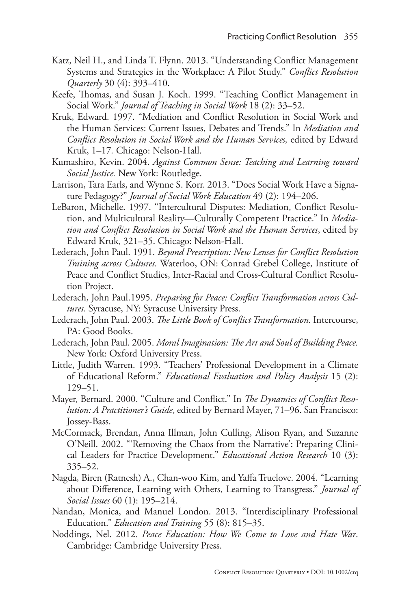- Katz, Neil H., and Linda T. Flynn. 2013. "Understanding Conflict Management Systems and Strategies in the Workplace: A Pilot Study." *Conflict Resolution Quarterly* 30 (4): 393–410.
- Keefe, Thomas, and Susan J. Koch. 1999. "Teaching Conflict Management in Social Work." *Journal of Teaching in Social Work* 18 (2): 33–52.
- Kruk, Edward. 1997. "Mediation and Conflict Resolution in Social Work and the Human Services: Current Issues, Debates and Trends." In *Mediation and Confl ict Resolution in Social Work and the Human Services,* edited by Edward Kruk, 1–17*.* Chicago: Nelson-Hall.
- Kumashiro, Kevin. 2004. *Against Common Sense: Teaching and Learning toward Social Justice.* New York: Routledge.
- Larrison, Tara Earls, and Wynne S. Korr. 2013. "Does Social Work Have a Signature Pedagogy?" *Journal of Social Work Education* 49 (2): 194–206.
- LeBaron, Michelle. 1997. "Intercultural Disputes: Mediation, Conflict Resolution, and Multicultural Reality—Culturally Competent Practice." In *Media*tion and Conflict Resolution in Social Work and the Human Services, edited by Edward Kruk, 321–35. Chicago: Nelson-Hall.
- Lederach, John Paul. 1991. *Beyond Prescription: New Lenses for Conflict Resolution Training across Cultures.* Waterloo, ON: Conrad Grebel College, Institute of Peace and Conflict Studies, Inter-Racial and Cross-Cultural Conflict Resolution Project.
- Lederach, John Paul.1995. Preparing for Peace: Conflict Transformation across Cul*tures.* Syracuse, NY: Syracuse University Press.
- Lederach, John Paul. 2003. *The Little Book of Conflict Transformation*. Intercourse, PA: Good Books.
- Lederach, John Paul. 2005. *Moral Imagination: The Art and Soul of Building Peace.* New York: Oxford University Press.
- Little, Judith Warren. 1993. "Teachers' Professional Development in a Climate of Educational Reform." *Educational Evaluation and Policy Analysis* 15 (2): 129–51.
- Mayer, Bernard. 2000. "Culture and Conflict." In *The Dynamics of Conflict Resolution: A Practitioner's Guide*, edited by Bernard Mayer, 71–96. San Francisco: Jossey-Bass.
- McCormack, Brendan, Anna Illman, John Culling, Alison Ryan, and Suzanne O'Neill. 2002. "'Removing the Chaos from the Narrative': Preparing Clinical Leaders for Practice Development." *Educational Action Research* 10 (3): 335–52.
- Nagda, Biren (Ratnesh) A., Chan-woo Kim, and Yaffa Truelove. 2004. "Learning about Difference, Learning with Others, Learning to Transgress." *Journal of Social Issues* 60 (1): 195–214.
- Nandan, Monica, and Manuel London. 2013. "Interdisciplinary Professional Education." *Education and Training* 55 (8): 815–35.
- Noddings, Nel. 2012. *Peace Education: How We Come to Love and Hate War*. Cambridge: Cambridge University Press.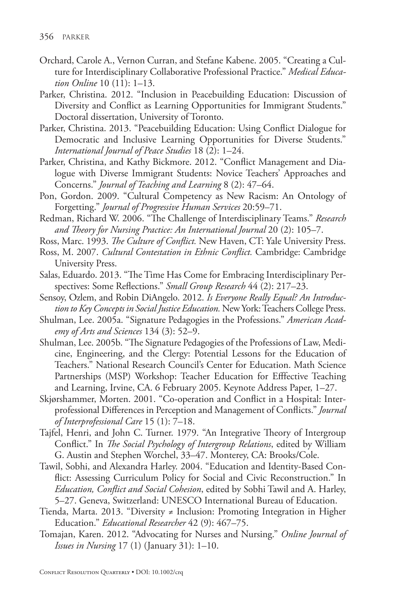- Orchard, Carole A., Vernon Curran, and Stefane Kabene. 2005. "Creating a Culture for Interdisciplinary Collaborative Professional Practice." *Medical Education Online* 10 (11): 1–13.
- Parker, Christina. 2012. "Inclusion in Peacebuilding Education: Discussion of Diversity and Conflict as Learning Opportunities for Immigrant Students." Doctoral dissertation, University of Toronto.
- Parker, Christina. 2013. "Peacebuilding Education: Using Conflict Dialogue for Democratic and Inclusive Learning Opportunities for Diverse Students." *International Journal of Peace Studies* 18 (2): 1–24.
- Parker, Christina, and Kathy Bickmore. 2012. "Conflict Management and Dialogue with Diverse Immigrant Students: Novice Teachers' Approaches and Concerns." *Journal of Teaching and Learning* 8 (2): 47–64.
- Pon, Gordon. 2009. "Cultural Competency as New Racism: An Ontology of Forgetting." *Journal of Progressive Human Services* 20:59–71.
- Redman, Richard W. 2006. "The Challenge of Interdisciplinary Teams." Research *and T eory for Nursing Practice: An International Journal* 20 (2): 105–7.

Ross, Marc. 1993. *The Culture of Conflict*. New Haven, CT: Yale University Press.

- Ross, M. 2007. *Cultural Contestation in Ethnic Conflict*. Cambridge: Cambridge University Press.
- Salas, Eduardo. 2013. "The Time Has Come for Embracing Interdisciplinary Perspectives: Some Reflections." *Small Group Research* 44 (2): 217–23.
- Sensoy, Ozlem, and Robin DiAngelo. 2012. *Is Everyone Really Equal? An Introduction to Key Concepts in Social Justice Education.* New York: Teachers College Press.
- Shulman, Lee. 2005a. "Signature Pedagogies in the Professions." *American Academy of Arts and Sciences* 134 (3): 52–9.
- Shulman, Lee. 2005b. "The Signature Pedagogies of the Professions of Law, Medicine, Engineering, and the Clergy: Potential Lessons for the Education of Teachers." National Research Council's Center for Education. Math Science Partnerships (MSP) Workshop: Teacher Education for Efffective Teaching and Learning, Irvine, CA. 6 February 2005. Keynote Address Paper, 1–27.
- Skjørshammer, Morten. 2001. "Co-operation and Conflict in a Hospital: Interprofessional Differences in Perception and Management of Conflicts." *Journal of Interprofessional Care* 15 (1): 7–18.
- Tajfel, Henri, and John C. Turner. 1979. "An Integrative Theory of Intergroup Conflict." In *The Social Psychology of Intergroup Relations*, edited by William G. Austin and Stephen Worchel, 33–47. Monterey, CA: Brooks/Cole.
- Tawil, Sobhi, and Alexandra Harley. 2004. "Education and Identity-Based Conflict: Assessing Curriculum Policy for Social and Civic Reconstruction." In Education, Conflict and Social Cohesion, edited by Sobhi Tawil and A. Harley, 5–27. Geneva, Switzerland: UNESCO International Bureau of Education.
- Tienda, Marta. 2013. "Diversity ≠ Inclusion: Promoting Integration in Higher Education." *Educational Researcher* 42 (9): 467–75.
- Tomajan, Karen. 2012. "Advocating for Nurses and Nursing." *Online Journal of Issues in Nursing* 17 (1) (January 31): 1–10.